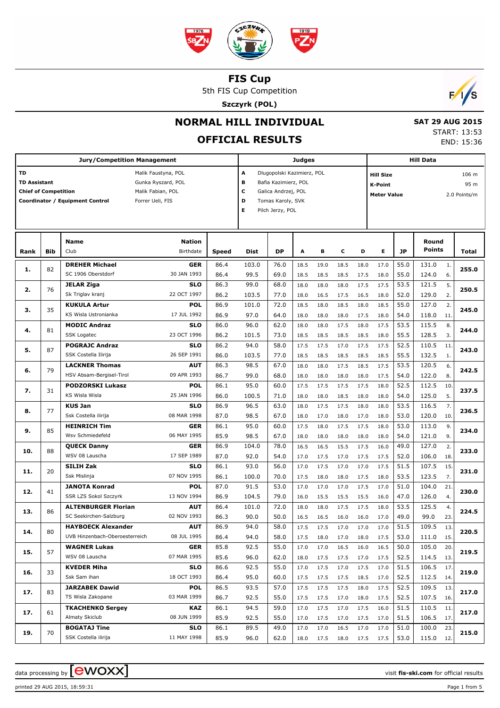

5th FIS Cup Competition

**Szczyrk (POL)**



## **NORMAL HILL INDIVIDUAL**

# **OFFICIAL RESULTS**

 **SAT 29 AUG 2015** START: 13:53 END: 15:36

|                             |     | <b>Jury/Competition Management</b>                          |                           |              |                          | <b>Judges</b>              |      |      |      | <b>Hill Data</b> |                           |                                    |                        |      |       |  |  |
|-----------------------------|-----|-------------------------------------------------------------|---------------------------|--------------|--------------------------|----------------------------|------|------|------|------------------|---------------------------|------------------------------------|------------------------|------|-------|--|--|
| <b>TD</b>                   |     |                                                             | Malik Faustyna, POL       |              | A                        | Dlugopolski Kazimierz, POL |      |      |      |                  | <b>Hill Size</b><br>106 m |                                    |                        |      |       |  |  |
| <b>TD Assistant</b>         |     |                                                             | Gunka Ryszard, POL        |              | в                        | Bafia Kazimierz, POL       |      |      |      |                  | K-Point                   |                                    |                        | 95 m |       |  |  |
| <b>Chief of Competition</b> |     | Malik Fabian, POL                                           |                           |              | с<br>Galica Andrzej, POL |                            |      |      |      |                  |                           | <b>Meter Value</b><br>2.0 Points/m |                        |      |       |  |  |
|                             |     | Forrer Ueli, FIS<br>Coordinator / Equipment Control         |                           |              | D                        | Tomas Karoly, SVK          |      |      |      |                  |                           |                                    |                        |      |       |  |  |
|                             |     |                                                             |                           |              | Е                        | Pilch Jerzy, POL           |      |      |      |                  |                           |                                    |                        |      |       |  |  |
|                             |     |                                                             |                           |              |                          |                            |      |      |      |                  |                           |                                    |                        |      |       |  |  |
|                             |     |                                                             |                           |              |                          |                            |      |      |      |                  |                           |                                    |                        |      |       |  |  |
|                             |     | Name                                                        | <b>Nation</b>             |              |                          |                            |      |      |      |                  |                           |                                    | Round<br><b>Points</b> |      |       |  |  |
| Rank                        | Bib | Club                                                        | Birthdate                 | <b>Speed</b> | Dist                     | DP                         | A    | в    | c    | D                | Е                         | JP                                 |                        |      | Total |  |  |
| 1.                          | 82  | <b>DREHER Michael</b>                                       | <b>GER</b>                | 86.4         | 103.0                    | 76.0                       | 18.5 | 19.0 | 18.5 | 18.0             | 17.0                      | 55.0                               | 131.0                  | 1.   | 255.0 |  |  |
|                             |     | SC 1906 Oberstdorf                                          | 30 JAN 1993               | 86.4         | 99.5                     | 69.0                       | 18.5 | 18.5 | 18.5 | 17.5             | 18.0                      | 55.0                               | 124.0                  | 6.   |       |  |  |
| 2.                          | 76  | <b>JELAR Ziga</b>                                           | <b>SLO</b>                | 86.3         | 99.0                     | 68.0                       | 18.0 | 18.0 | 18.0 | 17.5             | 17.5                      | 53.5                               | 121.5                  | 5.   | 250.5 |  |  |
|                             |     | Sk Triglav kranj                                            | 22 OCT 1997               | 86.2         | 103.5                    | 77.0                       | 18.0 | 16.5 | 17.5 | 16.5             | 18.0                      | 52.0                               | 129.0                  | 2.   |       |  |  |
| з.                          | 35  | <b>KUKULA Artur</b>                                         | <b>POL</b>                | 86.9         | 101.0                    | 72.0                       | 18.5 | 18.0 | 18.5 | 18.0             | 18.5                      | 55.0                               | 127.0                  | 2.   | 245.0 |  |  |
|                             |     | KS Wisla Ustronianka                                        | 17 JUL 1992               | 86.9         | 97.0                     | 64.0                       | 18.0 | 18.0 | 18.0 | 17.5             | 18.0                      | 54.0                               | 118.0                  | 11.  |       |  |  |
| 4.                          | 81  | <b>MODIC Andraz</b>                                         | <b>SLO</b>                | 86.0         | 96.0                     | 62.0                       | 18.0 | 18.0 | 17.5 | 18.0             | 17.5                      | 53.5                               | 115.5                  | 8.   | 244.0 |  |  |
|                             |     | <b>SSK Logatec</b>                                          | 23 OCT 1996               | 86.2         | 101.5                    | 73.0                       | 18.5 | 18.5 | 18.5 | 18.5             | 18.0                      | 55.5                               | 128.5                  | 3.   |       |  |  |
| 5.                          | 87  | <b>POGRAJC Andraz</b>                                       | <b>SLO</b>                | 86.2         | 94.0                     | 58.0                       | 17.5 | 17.5 | 17.0 | 17.5             | 17.5                      | 52.5                               | 110.5                  | 11.  | 243.0 |  |  |
|                             |     | SSK Costella Ilirija                                        | 26 SEP 1991               | 86.0         | 103.5                    | 77.0                       | 18.5 | 18.5 | 18.5 | 18.5             | 18.5                      | 55.5                               | 132.5                  | 1.   |       |  |  |
| 6.                          | 79  | <b>LACKNER Thomas</b>                                       | AUT                       | 86.3         | 98.5                     | 67.0                       | 18.0 | 18.0 | 17.5 | 18.5             | 17.5                      | 53.5                               | 120.5                  | 6.   | 242.5 |  |  |
|                             |     | HSV Absam-Bergisel-Tirol                                    | 09 APR 1993               | 86.7         | 99.0                     | 68.0                       | 18.0 | 18.0 | 18.0 | 18.0             | 17.5                      | 54.0                               | 122.0                  | 8.   |       |  |  |
| 7.                          | 31  | <b>PODZORSKI Lukasz</b>                                     | <b>POL</b>                | 86.1         | 95.0                     | 60.0                       | 17.5 | 17.5 | 17.5 | 17.5             | 18.0                      | 52.5                               | 112.5                  | 10.  | 237.5 |  |  |
|                             |     | KS Wisla Wisla                                              | 25 JAN 1996               | 86.0         | 100.5                    | 71.0                       | 18.0 | 18.0 | 18.5 | 18.0             | 18.0                      | 54.0                               | 125.0                  | 5.   |       |  |  |
| 8.                          | 77  | <b>KUS Jan</b>                                              | <b>SLO</b>                | 86.9         | 96.5                     | 63.0                       | 18.0 | 17.5 | 17.5 | 18.0             | 18.0                      | 53.5                               | 116.5                  | 7.   | 236.5 |  |  |
|                             |     | Ssk Costella ilirija                                        | 08 MAR 1998               | 87.0         | 98.5                     | 67.0                       | 18.0 | 17.0 | 18.0 | 17.0             | 18.0                      | 53.0                               | 120.0                  | 10.  |       |  |  |
| 9.                          | 85  | <b>HEINRICH Tim</b>                                         | <b>GER</b>                | 86.1         | 95.0                     | 60.0                       | 17.5 | 18.0 | 17.5 | 17.5             | 18.0                      | 53.0                               | 113.0                  | 9.   | 234.0 |  |  |
|                             |     | Wsv Schmiedefeld                                            | 06 MAY 1995               | 85.9         | 98.5                     | 67.0                       | 18.0 | 18.0 | 18.0 | 18.0             | 18.0                      | 54.0                               | 121.0                  | 9.   |       |  |  |
| 10.                         | 88  | <b>QUECK Danny</b>                                          | GER                       | 86.9         | 104.0                    | 78.0                       | 16.5 | 16.5 | 15.5 | 17.5             | 16.0                      | 49.0                               | 127.0                  | 2.   | 233.0 |  |  |
|                             |     | WSV 08 Lauscha                                              | 17 SEP 1989               | 87.0         | 92.0                     | 54.0                       | 17.0 | 17.5 | 17.0 | 17.5             | 17.5                      | 52.0                               | 106.0                  | 18.  |       |  |  |
| 11.                         | 20  | <b>SILIH Zak</b>                                            | <b>SLO</b>                | 86.1         | 93.0                     | 56.0                       | 17.0 | 17.5 | 17.0 | 17.0             | 17.5                      | 51.5                               | 107.5                  | 15.  | 231.0 |  |  |
|                             |     | Ssk Mislinja                                                | 07 NOV 1995               | 86.1         | 100.0                    | 70.0                       | 17.5 | 18.0 | 18.0 | 17.5             | 18.0                      | 53.5                               | 123.5                  | 7.   |       |  |  |
| 12.                         | 41  | <b>JANOTA Konrad</b>                                        | <b>POL</b>                | 87.0         | 91.5                     | 53.0                       | 17.0 | 17.0 | 17.0 | 17.5             | 17.0                      | 51.0                               | 104.0                  | 21.  | 230.0 |  |  |
|                             |     | SSR LZS Sokol Szczyrk                                       | 13 NOV 1994               | 86.9         | 104.5                    | 79.0                       | 16.0 | 15.5 | 15.5 | 15.5             | 16.0                      | 47.0                               | 126.0                  | 4.   |       |  |  |
| 13.                         | 86  | <b>ALTENBURGER Florian</b>                                  | AUT                       | 86.4         | 101.0                    | 72.0                       | 18.0 | 18.0 | 17.5 | 17.5             | 18.0                      | 53.5                               | 125.5                  | 4.   | 224.5 |  |  |
|                             |     | SC Seekirchen-Salzburg                                      | 02 NOV 1993               | 86.3         | 90.0                     | 50.0                       | 16.5 | 16.5 | 16.0 | 16.0             | 17.0                      | 49.0                               | 99.0                   | 23.  |       |  |  |
| 14.                         | 80  | <b>HAYBOECK Alexander</b><br>UVB Hinzenbach-Oberoesterreich | <b>AUT</b><br>08 JUL 1995 | 86.9         | 94.0                     | 58.0                       | 17.5 | 17.5 | 17.0 | 17.0             | 17.0                      | $\overline{51.5}$                  | 109.5                  | 13.  | 220.5 |  |  |
|                             |     | <b>WAGNER Lukas</b>                                         |                           | 86.4         | 94.0                     | 58.0                       | 17.5 | 18.0 | 17.0 | 18.0             | 17.5                      | 53.0                               | 111.0 15.              |      |       |  |  |
| 15.                         | 57  | WSV 08 Lauscha                                              | <b>GER</b><br>07 MAR 1995 | 85.8<br>85.6 | 92.5                     | 55.0                       | 17.0 | 17.0 | 16.5 | 16.0             | 16.5                      | 50.0                               | 105.0                  | 20.  | 219.5 |  |  |
|                             |     |                                                             |                           |              | 96.0                     | 62.0                       | 18.0 | 17.5 | 17.5 | 17.0             | 17.5                      | 52.5                               | 114.5                  | 13.  |       |  |  |
| 16.                         | 33  | <b>KVEDER Miha</b><br>Ssk Sam ihan                          | <b>SLO</b><br>18 OCT 1993 | 86.6<br>86.4 | 92.5<br>95.0             | 55.0<br>60.0               | 17.0 | 17.5 | 17.0 | 17.5             | 17.0                      | 51.5<br>52.5                       | 106.5<br>112.5         | 17.  | 219.0 |  |  |
|                             |     | <b>JARZABEK Dawid</b>                                       |                           |              |                          |                            | 17.5 | 17.5 | 17.5 | 18.5             | 17.0                      |                                    |                        | 14.  |       |  |  |
| 17.                         | 83  | TS Wisla Zakopane                                           | <b>POL</b><br>03 MAR 1999 | 86.5<br>86.7 | 93.5<br>92.5             | 57.0<br>55.0               | 17.5 | 17.5 | 17.5 | 18.0             | 17.5                      | 52.5<br>52.5                       | 109.5<br>107.5         | 13.  | 217.0 |  |  |
|                             |     |                                                             |                           |              | 94.5                     |                            | 17.5 | 17.5 | 17.0 | 18.0             | 17.5                      |                                    |                        | 16.  |       |  |  |
| 17.                         | 61  | <b>TKACHENKO Sergey</b><br>Almaty Skiclub                   | KAZ<br>08 JUN 1999        | 86.1<br>85.9 |                          | 59.0<br>55.0               | 17.0 | 17.5 | 17.0 | 17.5             | 16.0                      | 51.5<br>51.5                       | 110.5<br>106.5         | 11.  | 217.0 |  |  |
|                             |     |                                                             |                           |              | 92.5                     |                            | 17.0 | 17.5 | 17.0 | 17.5             | 17.0                      |                                    |                        | 17.  |       |  |  |
| 19.                         | 70  | <b>BOGATAJ Tine</b>                                         | <b>SLO</b>                | 86.1         | 89.5                     | 49.0                       | 17.0 | 17.0 | 16.5 | 17.0             | 17.0                      | 51.0                               | 100.0                  | 23.  | 215.0 |  |  |
|                             |     | SSK Costella ilirija                                        | 11 MAY 1998               | 85.9         | 96.0                     | 62.0                       | 18.0 | 17.5 | 18.0 | 17.5             | 17.5                      | 53.0                               | 115.0 12.              |      |       |  |  |

printed 29 AUG 2015, 18:59:31 Page 1 from 5

data processing by **CWOXX** and the set of the set of the set of the set of the set of the set of the set of the set of the set of the set of the set of the set of the set of the set of the set of the set of the set of the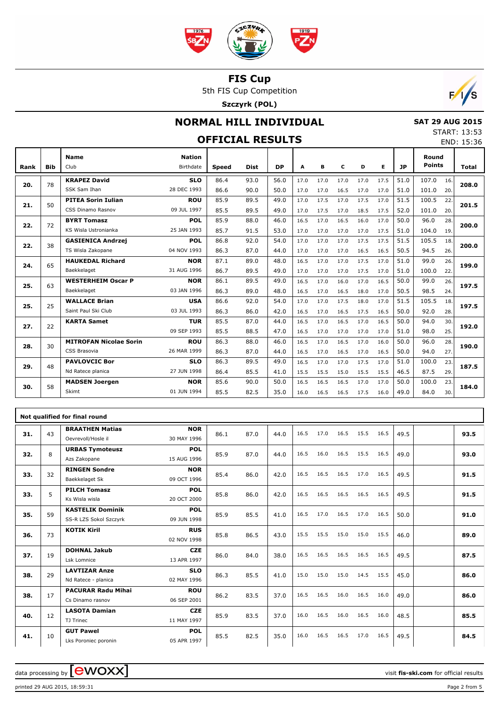

5th FIS Cup Competition

**Szczyrk (POL)**



## **NORMAL HILL INDIVIDUAL OFFICIAL RESULTS**

 **SAT 29 AUG 2015** START: 13:53

#### END: 15:36 **Bib Name** Club Birthdate **Nation Rank Speed Dist DP A B C D E JP Total Round Points KRAPEZ David** SSK Sam Ihan **SLO** 28 DEC 1993 78 86.4 93.0 56.0 17.0 17.0 17.0 17.0 17.5 51.0 107.0 86.6 90.0 50.0 17.0 17.0 16.5 17.0 17.0 51.0 101.0 20. 16. **20. 208.0 PITEA Sorin Iulian** CSS Dinamo Rasnov **ROU** 09 JUL 1997 50 85.9 89.5 49.0 17.0 17.5 17.0 17.5 17.0 51.5 100.5 85.5 89.5 49.0 17.0 17.5 17.0 18.5 17.5 52.0 101.0 20. 22. **21. 201.5 BYRT Tomasz** KS Wisla Ustronianka **POL** 25 JAN 1993 72 85.9 88.0 46.0 16.5 17.0 16.5 16.0 17.0 50.0 96.0 85.7 91.5 53.0 17.0 17.0 17.0 17.0 17.5 51.0 104.0 19.  $\overline{28}$ **22. 200.0 GASIENICA Andrzej** TS Wisla Zakopane **POL** 04 NOV 1993 38 86.8 92.0 54.0 17.0 17.0 17.0 17.5 17.5 51.5 105.5 86.3 87.0 44.0 17.0 17.0 17.0 16.5 16.5 50.5 94.5 26. 18. **22. 200.0 HAUKEDAL Richard** Baekkelaget **NOR** 31 AUG 1996 65 87.1 89.0 48.0 16.5 17.0 17.0 17.5 17.0 51.0 99.0 86.7 89.5 49.0 17.0 17.0 17.0 17.5 17.0 51.0 100.0 22.  $76.$ **24. 199.0 WESTERHEIM Oscar P** Baekkelaget **NOR** 03 JAN 1996 63 86.1 89.5 49.0 16.5 17.0 16.0 17.0 16.5 50.0 99.0 86.3 89.0 48.0 16.5 17.0 16.5 18.0 17.0 50.5 98.5 24. 26. **25. 197.5 WALLACE Brian** Saint Paul Ski Club **USA** 03 JUL 1993 25 86.6 92.0 54.0 17.0 17.0 17.5 18.0 17.0 51.5 105.5 86.3 86.0 42.0 16.5 17.0 16.5 17.5 16.5 50.0 92.0 28. 18. **25. 197.5 KARTA Samet TUR** 09 SEP 1993 22 85.5 87.0 44.0 16.5 17.0 16.5 17.0 16.5 50.0 94.0 85.5 88.5 47.0 16.5 17.0 17.0 17.0 17.0 51.0 98.0 25. 30. **27. 192.0 MITROFAN Nicolae Sorin** CSS Brasovia **ROU** 26 MAR 1999 30 86.3 88.0 46.0 16.5 17.0 16.5 17.0 16.0 50.0 96.0 86.3 87.0 44.0 16.5 17.0 16.5 17.0 16.5 50.0 94.0 27. 28. **28. 190.0 PAVLOVCIC Bor** Nd Ratece planica **SLO** 27 JUN 1998 48 86.3 89.5 49.0 16.5 17.0 17.0 17.5 17.0 51.0 100.0 86.4 85.5 41.0 15.5 15.5 15.0 15.5 15.5 46.5 87.5 29. 23. **29. 187.5 MADSEN Joergen** Skimt **NOR** 01 JUN 1994 58 85.6 90.0 50.0 16.5 16.5 16.5 17.0 17.0 50.0 100.0 85.5 82.5 35.0 16.0 16.5 16.5 17.5 16.0 49.0 84.0 30. 23. **30. 184.0**

|     | Not qualified for final round |                                                   |                           |      |      |      |      |      |      |      |      |      |  |      |
|-----|-------------------------------|---------------------------------------------------|---------------------------|------|------|------|------|------|------|------|------|------|--|------|
| 31. | 43                            | <b>BRAATHEN Matias</b><br>Oevrevoll/Hosle il      | <b>NOR</b><br>30 MAY 1996 | 86.1 | 87.0 | 44.0 | 16.5 | 17.0 | 16.5 | 15.5 | 16.5 | 49.5 |  | 93.5 |
| 32. | 8                             | <b>URBAS Tymoteusz</b><br>Azs Zakopane            | <b>POL</b><br>15 AUG 1996 | 85.9 | 87.0 | 44.0 | 16.5 | 16.0 | 16.5 | 15.5 | 16.5 | 49.0 |  | 93.0 |
| 33. | 32                            | <b>RINGEN Sondre</b><br>Baekkelaget Sk            | <b>NOR</b><br>09 OCT 1996 | 85.4 | 86.0 | 42.0 | 16.5 | 16.5 | 16.5 | 17.0 | 16.5 | 49.5 |  | 91.5 |
| 33. | 5                             | <b>PILCH Tomasz</b><br>Ks Wisla wisla             | <b>POL</b><br>20 OCT 2000 | 85.8 | 86.0 | 42.0 | 16.5 | 16.5 | 16.5 | 16.5 | 16.5 | 49.5 |  | 91.5 |
| 35. | 59                            | <b>KASTELIK Dominik</b><br>SS-R LZS Sokol Szczyrk | <b>POL</b><br>09 JUN 1998 | 85.9 | 85.5 | 41.0 | 16.5 | 17.0 | 16.5 | 17.0 | 16.5 | 50.0 |  | 91.0 |
| 36. | 73                            | <b>KOTIK Kiril</b>                                | <b>RUS</b><br>02 NOV 1998 | 85.8 | 86.5 | 43.0 | 15.5 | 15.5 | 15.0 | 15.0 | 15.5 | 46.0 |  | 89.0 |
| 37. | 19                            | <b>DOHNAL Jakub</b><br>Lsk Lomnice                | <b>CZE</b><br>13 APR 1997 | 86.0 | 84.0 | 38.0 | 16.5 | 16.5 | 16.5 | 16.5 | 16.5 | 49.5 |  | 87.5 |
| 38. | 29                            | <b>LAVTIZAR Anze</b><br>Nd Ratece - planica       | <b>SLO</b><br>02 MAY 1996 | 86.3 | 85.5 | 41.0 | 15.0 | 15.0 | 15.0 | 14.5 | 15.5 | 45.0 |  | 86.0 |
| 38. | 17                            | <b>PACURAR Radu Mihai</b><br>Cs Dinamo rasnov     | <b>ROU</b><br>06 SEP 2001 | 86.2 | 83.5 | 37.0 | 16.5 | 16.5 | 16.0 | 16.5 | 16.0 | 49.0 |  | 86.0 |
| 40. | 12                            | <b>LASOTA Damian</b><br>TJ Trinec                 | <b>CZE</b><br>11 MAY 1997 | 85.9 | 83.5 | 37.0 | 16.0 | 16.5 | 16.0 | 16.5 | 16.0 | 48.5 |  | 85.5 |
| 41. | 10                            | <b>GUT Pawel</b><br>Lks Poroniec poronin          | <b>POL</b><br>05 APR 1997 | 85.5 | 82.5 | 35.0 | 16.0 | 16.5 | 16.5 | 17.0 | 16.5 | 49.5 |  | 84.5 |

data processing by  $\boxed{\text{ewOX}}$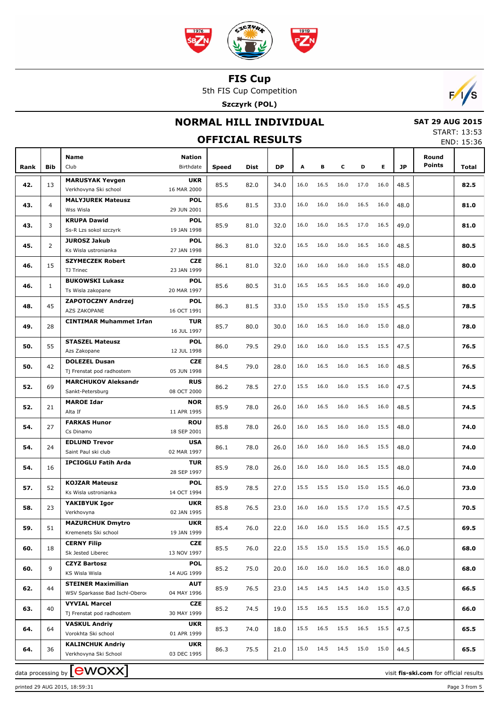

5th FIS Cup Competition

**Szczyrk (POL)**



## **NORMAL HILL INDIVIDUAL**

 **SAT 29 AUG 2015** START: 13:53

|      |                | <b>OFFICIAL RESULTS</b>                                 |                            |       |      |      |      |      |      |           |      |      | END: 15:36             |       |
|------|----------------|---------------------------------------------------------|----------------------------|-------|------|------|------|------|------|-----------|------|------|------------------------|-------|
| Rank | Bib            | Name<br>Club                                            | <b>Nation</b><br>Birthdate | Speed | Dist | DP   | А    | в    | с    | D         | Е    | JP   | Round<br><b>Points</b> | Total |
| 42.  | 13             | <b>MARUSYAK Yevgen</b><br>Verkhovyna Ski school         | <b>UKR</b><br>16 MAR 2000  | 85.5  | 82.0 | 34.0 | 16.0 | 16.5 | 16.0 | 17.0      | 16.0 | 48.5 |                        | 82.5  |
| 43.  | $\overline{4}$ | <b>MALYJUREK Mateusz</b><br>Wss Wisla                   | <b>POL</b><br>29 JUN 2001  | 85.6  | 81.5 | 33.0 | 16.0 | 16.0 | 16.0 | 16.5      | 16.0 | 48.0 |                        | 81.0  |
|      |                | <b>KRUPA Dawid</b>                                      | <b>POL</b>                 |       |      |      |      |      |      |           |      |      |                        |       |
| 43.  | 3              | Ss-R Lzs sokol szczyrk                                  | 19 JAN 1998                | 85.9  | 81.0 | 32.0 | 16.0 | 16.0 | 16.5 | 17.0      | 16.5 | 49.0 |                        | 81.0  |
| 45.  | $\overline{2}$ | <b>JUROSZ Jakub</b><br>Ks Wisla ustronianka             | <b>POL</b><br>27 JAN 1998  | 86.3  | 81.0 | 32.0 | 16.5 | 16.0 | 16.0 | 16.5      | 16.0 | 48.5 |                        | 80.5  |
| 46.  | 15             | <b>SZYMECZEK Robert</b>                                 | <b>CZE</b>                 | 86.1  | 81.0 | 32.0 | 16.0 | 16.0 | 16.0 | 16.0      | 15.5 | 48.0 |                        | 80.0  |
|      |                | TJ Trinec                                               | 23 JAN 1999                |       |      |      |      |      |      |           |      |      |                        |       |
| 46.  | $\mathbf{1}$   | <b>BUKOWSKI Lukasz</b><br>Ts Wisla zakopane             | <b>POL</b><br>20 MAR 1997  | 85.6  | 80.5 | 31.0 | 16.5 | 16.5 | 16.5 | 16.0      | 16.0 | 49.0 |                        | 80.0  |
| 48.  | 45             | <b>ZAPOTOCZNY Andrzej</b><br>AZS ZAKOPANE               | <b>POL</b><br>16 OCT 1991  | 86.3  | 81.5 | 33.0 | 15.0 | 15.5 | 15.0 | 15.0      | 15.5 | 45.5 |                        | 78.5  |
| 49.  | 28             | <b>CINTIMAR Muhammet Irfan</b>                          | TUR<br>16 JUL 1997         | 85.7  | 80.0 | 30.0 | 16.0 | 16.5 | 16.0 | 16.0      | 15.0 | 48.0 |                        | 78.0  |
| 50.  | 55             | <b>STASZEL Mateusz</b>                                  | <b>POL</b>                 | 86.0  | 79.5 | 29.0 | 16.0 | 16.0 | 16.0 | 15.5      | 15.5 | 47.5 |                        | 76.5  |
| 50.  | 42             | Azs Zakopane<br><b>DOLEZEL Dusan</b>                    | 12 JUL 1998<br><b>CZE</b>  | 84.5  | 79.0 | 28.0 | 16.0 | 16.5 | 16.0 | 16.5      | 16.0 | 48.5 |                        | 76.5  |
|      |                | Tj Frenstat pod radhostem<br><b>MARCHUKOV Aleksandr</b> | 05 JUN 1998<br><b>RUS</b>  |       |      |      |      |      |      |           |      |      |                        |       |
| 52.  | 69             | Sankt-Petersburg                                        | 08 OCT 2000                | 86.2  | 78.5 | 27.0 | 15.5 | 16.0 | 16.0 | 15.5      | 16.0 | 47.5 |                        | 74.5  |
| 52.  | 21             | <b>MAROE Idar</b><br>Alta If                            | <b>NOR</b><br>11 APR 1995  | 85.9  | 78.0 | 26.0 | 16.0 | 16.5 | 16.0 | 16.5      | 16.0 | 48.5 |                        | 74.5  |
| 54.  | 27             | <b>FARKAS Hunor</b><br>Cs Dinamo                        | <b>ROU</b><br>18 SEP 2001  | 85.8  | 78.0 | 26.0 | 16.0 | 16.5 | 16.0 | 16.0      | 15.5 | 48.0 |                        | 74.0  |
| 54.  | 24             | <b>EDLUND Trevor</b><br>Saint Paul ski club             | <b>USA</b><br>02 MAR 1997  | 86.1  | 78.0 | 26.0 | 16.0 | 16.0 | 16.0 | 16.5      | 15.5 | 48.0 |                        | 74.0  |
| 54.  | 16             | <b>IPCIOGLU Fatih Arda</b>                              | TUR                        | 85.9  | 78.0 | 26.0 | 16.0 | 16.0 | 16.0 | 16.5      | 15.5 | 48.0 |                        | 74.0  |
| 57.  | 52             | <b>KOJZAR Mateusz</b>                                   | 28 SEP 1997<br><b>POL</b>  | 85.9  | 78.5 | 27.0 | 15.5 | 15.5 | 15.0 | 15.0      | 15.5 | 46.0 |                        | 73.0  |
|      |                | Ks Wisla ustronianka<br>YAKIBYUK Igor                   | 14 OCT 1994<br><b>UKR</b>  |       |      |      |      |      |      |           |      |      |                        |       |
| 58.  | 23             | Verkhovyna                                              | 02 JAN 1995                | 85.8  | 76.5 | 23.0 | 16.0 | 16.0 | 15.5 | 17.0      | 15.5 | 47.5 |                        | 70.5  |
| 59.  | 51             | <b>MAZURCHUK Dmytro</b><br>Kremenets Ski school         | <b>UKR</b><br>19 JAN 1999  | 85.4  | 76.0 | 22.0 | 16.0 | 16.0 | 15.5 | 16.0      | 15.5 | 47.5 |                        | 69.5  |
| 60.  | 18             | <b>CERNY Filip</b><br>Sk Jested Liberec                 | <b>CZE</b><br>13 NOV 1997  | 85.5  | 76.0 | 22.0 | 15.5 | 15.0 | 15.5 | 15.0      | 15.5 | 46.0 |                        | 68.0  |
| 60.  | 9              | <b>CZYZ Bartosz</b><br>KS Wisla Wisla                   | <b>POL</b><br>14 AUG 1999  | 85.2  | 75.0 | 20.0 | 16.0 | 16.0 | 16.0 | 16.5      | 16.0 | 48.0 |                        | 68.0  |
| 62.  | 44             | <b>STEINER Maximilian</b>                               | <b>AUT</b>                 | 85.9  | 76.5 | 23.0 | 14.5 | 14.5 | 14.5 | 14.0      | 15.0 | 43.5 |                        | 66.5  |
|      |                | WSV Sparkasse Bad Ischl-Obero                           | 04 MAY 1996                |       |      |      |      |      |      |           |      |      |                        |       |
| 63.  | 40             | <b>VYVIAL Marcel</b><br>Tj Frenstat pod radhostem       | <b>CZE</b><br>30 MAY 1999  | 85.2  | 74.5 | 19.0 | 15.5 | 16.5 | 15.5 | 16.0      | 15.5 | 47.0 |                        | 66.0  |
| 64.  | 64             | <b>VASKUL Andriy</b><br>Vorokhta Ski school             | <b>UKR</b><br>01 APR 1999  | 85.3  | 74.0 | 18.0 | 15.5 | 16.5 | 15.5 | 16.5      | 15.5 | 47.5 |                        | 65.5  |
| 64.  | 36             | <b>KALINCHUK Andriy</b><br>Verkhovyna Ski School        | <b>UKR</b><br>03 DEC 1995  | 86.3  | 75.5 | 21.0 | 15.0 | 14.5 | 14.5 | 15.0 15.0 |      | 44.5 |                        | 65.5  |

data processing by **CWOXX** and  $\overline{C}$  and  $\overline{C}$  and  $\overline{C}$  and  $\overline{C}$  and  $\overline{C}$  and  $\overline{C}$  and  $\overline{C}$  and  $\overline{C}$  and  $\overline{C}$  and  $\overline{C}$  and  $\overline{C}$  and  $\overline{C}$  and  $\overline{C}$  and  $\overline{C}$  and  $\overline{C}$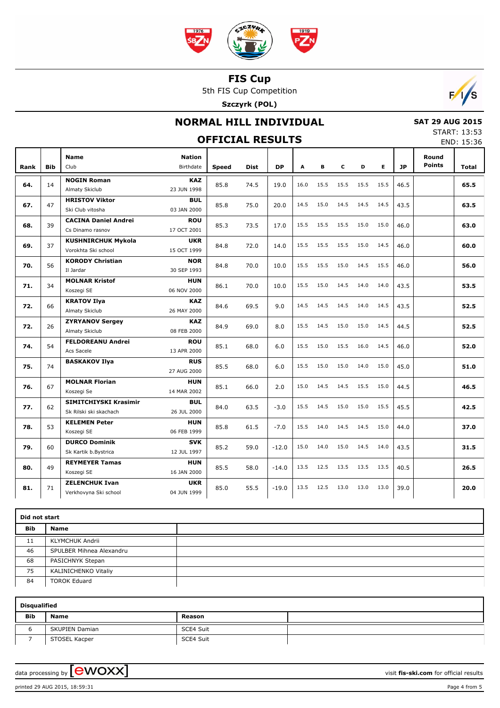

5th FIS Cup Competition

**Szczyrk (POL)**



## **NORMAL HILL INDIVIDUAL**

 **SAT 29 AUG 2015** START: 13:53

|      | <b>OFFICIAL RESULTS</b> |                                                  |                            |              |             |           |      |      |      |      |      |           |                        |       |
|------|-------------------------|--------------------------------------------------|----------------------------|--------------|-------------|-----------|------|------|------|------|------|-----------|------------------------|-------|
| Rank | <b>Bib</b>              | <b>Name</b><br>Club                              | <b>Nation</b><br>Birthdate | <b>Speed</b> | <b>Dist</b> | <b>DP</b> | A    | B    | C    | D    | E    | <b>JP</b> | Round<br><b>Points</b> | Total |
| 64.  | 14                      | <b>NOGIN Roman</b><br>Almaty Skiclub             | <b>KAZ</b><br>23 JUN 1998  | 85.8         | 74.5        | 19.0      | 16.0 | 15.5 | 15.5 | 15.5 | 15.5 | 46.5      |                        | 65.5  |
| 67.  | 47                      | <b>HRISTOV Viktor</b><br>Ski Club vitosha        | <b>BUL</b><br>03 JAN 2000  | 85.8         | 75.0        | 20.0      | 14.5 | 15.0 | 14.5 | 14.5 | 14.5 | 43.5      |                        | 63.5  |
| 68.  | 39                      | <b>CACINA Daniel Andrei</b><br>Cs Dinamo rasnov  | <b>ROU</b><br>17 OCT 2001  | 85.3         | 73.5        | 17.0      | 15.5 | 15.5 | 15.5 | 15.0 | 15.0 | 46.0      |                        | 63.0  |
| 69.  | 37                      | <b>KUSHNIRCHUK Mykola</b><br>Vorokhta Ski school | <b>UKR</b><br>15 OCT 1999  | 84.8         | 72.0        | 14.0      | 15.5 | 15.5 | 15.5 | 15.0 | 14.5 | 46.0      |                        | 60.0  |
| 70.  | 56                      | <b>KORODY Christian</b><br>Il Jardar             | <b>NOR</b><br>30 SEP 1993  | 84.8         | 70.0        | 10.0      | 15.5 | 15.5 | 15.0 | 14.5 | 15.5 | 46.0      |                        | 56.0  |
| 71.  | 34                      | <b>MOLNAR Kristof</b><br>Koszegi SE              | <b>HUN</b><br>06 NOV 2000  | 86.1         | 70.0        | 10.0      | 15.5 | 15.0 | 14.5 | 14.0 | 14.0 | 43.5      |                        | 53.5  |
| 72.  | 66                      | <b>KRATOV Ilya</b><br>Almaty Skiclub             | <b>KAZ</b><br>26 MAY 2000  | 84.6         | 69.5        | 9.0       | 14.5 | 14.5 | 14.5 | 14.0 | 14.5 | 43.5      |                        | 52.5  |
| 72.  | 26                      | <b>ZYRYANOV Sergey</b><br>Almaty Skiclub         | <b>KAZ</b><br>08 FEB 2000  | 84.9         | 69.0        | 8.0       | 15.5 | 14.5 | 15.0 | 15.0 | 14.5 | 44.5      |                        | 52.5  |
| 74.  | 54                      | <b>FELDOREANU Andrei</b><br>Acs Sacele           | <b>ROU</b><br>13 APR 2000  | 85.1         | 68.0        | 6.0       | 15.5 | 15.0 | 15.5 | 16.0 | 14.5 | 46.0      |                        | 52.0  |
| 75.  | 74                      | <b>BASKAKOV Ilya</b>                             | <b>RUS</b><br>27 AUG 2000  | 85.5         | 68.0        | 6.0       | 15.5 | 15.0 | 15.0 | 14.0 | 15.0 | 45.0      |                        | 51.0  |
| 76.  | 67                      | <b>MOLNAR Florian</b><br>Koszegi Se              | <b>HUN</b><br>14 MAR 2002  | 85.1         | 66.0        | 2.0       | 15.0 | 14.5 | 14.5 | 15.5 | 15.0 | 44.5      |                        | 46.5  |
| 77.  | 62                      | SIMITCHIYSKI Krasimir<br>Sk Rilski ski skachach  | <b>BUL</b><br>26 JUL 2000  | 84.0         | 63.5        | $-3.0$    | 15.5 | 14.5 | 15.0 | 15.0 | 15.5 | 45.5      |                        | 42.5  |
| 78.  | 53                      | <b>KELEMEN Peter</b><br>Koszegi SE               | <b>HUN</b><br>06 FEB 1999  | 85.8         | 61.5        | $-7.0$    | 15.5 | 14.0 | 14.5 | 14.5 | 15.0 | 44.0      |                        | 37.0  |
| 79.  | 60                      | <b>DURCO Dominik</b><br>Sk Kartik b.Bystrica     | <b>SVK</b><br>12 JUL 1997  | 85.2         | 59.0        | $-12.0$   | 15.0 | 14.0 | 15.0 | 14.5 | 14.0 | 43.5      |                        | 31.5  |
| 80.  | 49                      | <b>REYMEYER Tamas</b><br>Koszegi SE              | <b>HUN</b><br>16 JAN 2000  | 85.5         | 58.0        | $-14.0$   | 13.5 | 12.5 | 13.5 | 13.5 | 13.5 | 40.5      |                        | 26.5  |
| 81.  | 71                      | <b>ZELENCHUK Ivan</b><br>Verkhovyna Ski school   | <b>UKR</b><br>04 JUN 1999  | 85.0         | 55.5        | $-19.0$   | 13.5 | 12.5 | 13.0 | 13.0 | 13.0 | 39.0      |                        | 20.0  |

|            | Did not start            |  |  |  |  |  |  |  |  |
|------------|--------------------------|--|--|--|--|--|--|--|--|
| <b>Bib</b> | Name                     |  |  |  |  |  |  |  |  |
| 11         | <b>KLYMCHUK Andrii</b>   |  |  |  |  |  |  |  |  |
| 46         | SPULBER Mihnea Alexandru |  |  |  |  |  |  |  |  |
| 68         | PASICHNYK Stepan         |  |  |  |  |  |  |  |  |
| 75         | KALINICHENKO Vitaliy     |  |  |  |  |  |  |  |  |
| 84         | <b>TOROK Eduard</b>      |  |  |  |  |  |  |  |  |

|            | <b>Disqualified</b>   |           |  |  |  |  |  |  |  |  |  |  |
|------------|-----------------------|-----------|--|--|--|--|--|--|--|--|--|--|
| <b>Bib</b> | <b>Name</b>           | Reason    |  |  |  |  |  |  |  |  |  |  |
|            | <b>SKUPIEN Damian</b> | SCE4 Suit |  |  |  |  |  |  |  |  |  |  |
|            | STOSEL Kacper         | SCE4 Suit |  |  |  |  |  |  |  |  |  |  |

data processing by **CWOXX**  $\blacksquare$ 

printed 29 AUG 2015, 18:59:31 Page 4 from 5